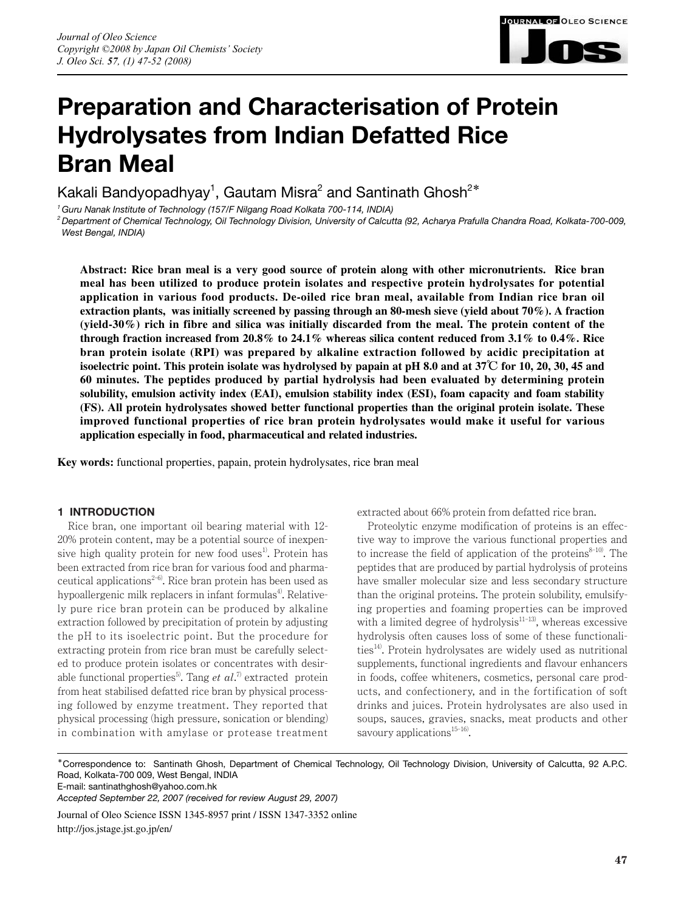

# **Preparation and Characterisation of Protein Hydrolysates from Indian Defatted Rice Bran Meal**

Kakali Bandyopadhyay $^{\rm 1}$ , Gautam Misra $^{\rm 2}$  and Santinath Ghosh $^{\rm 2*}$ 

*1 Guru Nanak Institute of Technology (157/F Nilgang Road Kolkata 700-114, INDIA)*

*2 Department of Chemical Technology, Oil Technology Division, University of Calcutta (92, Acharya Prafulla Chandra Road, Kolkata-700-009, West Bengal, INDIA)*

**Abstract: Rice bran meal is a very good source of protein along with other micronutrients. Rice bran meal has been utilized to produce protein isolates and respective protein hydrolysates for potential application in various food products. De-oiled rice bran meal, available from Indian rice bran oil extraction plants, was initially screened by passing through an 80-mesh sieve (yield about 70%). A fraction (yield-30%) rich in fibre and silica was initially discarded from the meal. The protein content of the through fraction increased from 20.8% to 24.1% whereas silica content reduced from 3.1% to 0.4%. Rice bran protein isolate (RPI) was prepared by alkaline extraction followed by acidic precipitation at isoelectric point. This protein isolate was hydrolysed by papain at pH 8.0 and at 37**℃ **for 10, 20, 30, 45 and 60 minutes. The peptides produced by partial hydrolysis had been evaluated by determining protein solubility, emulsion activity index (EAI), emulsion stability index (ESI), foam capacity and foam stability (FS). All protein hydrolysates showed better functional properties than the original protein isolate. These improved functional properties of rice bran protein hydrolysates would make it useful for various application especially in food, pharmaceutical and related industries.**

**Key words:** functional properties, papain, protein hydrolysates, rice bran meal

# **1 INTRODUCTION**

Rice bran, one important oil bearing material with 12- 20% protein content, may be a potential source of inexpensive high quality protein for new food uses<sup>1)</sup>. Protein has been extracted from rice bran for various food and pharmaceutical applications<sup> $2-6$ </sup>. Rice bran protein has been used as hypoallergenic milk replacers in infant formulas<sup>4</sup>. Relatively pure rice bran protein can be produced by alkaline extraction followed by precipitation of protein by adjusting the pH to its isoelectric point. But the procedure for extracting protein from rice bran must be carefully selected to produce protein isolates or concentrates with desirable functional properties<sup>5)</sup>. Tang *et al*.<sup>7)</sup> extracted protein from heat stabilised defatted rice bran by physical processing followed by enzyme treatment. They reported that physical processing (high pressure, sonication or blending) in combination with amylase or protease treatment

extracted about 66% protein from defatted rice bran.

Proteolytic enzyme modification of proteins is an effective way to improve the various functional properties and to increase the field of application of the proteins $8-10$ . The peptides that are produced by partial hydrolysis of proteins have smaller molecular size and less secondary structure than the original proteins. The protein solubility, emulsifying properties and foaming properties can be improved with a limited degree of hydrolysis $11-13$ , whereas excessive hydrolysis often causes loss of some of these functionali $ties<sup>14</sup>$ . Protein hydrolysates are widely used as nutritional supplements, functional ingredients and flavour enhancers in foods, coffee whiteners, cosmetics, personal care products, and confectionery, and in the fortification of soft drinks and juices. Protein hydrolysates are also used in soups, sauces, gravies, snacks, meat products and other savoury applications $15-16$ .

\*Correspondence to: Santinath Ghosh, Department of Chemical Technology, Oil Technology Division, University of Calcutta, 92 A.P.C. Road, Kolkata-700 009, West Bengal, INDIA

E-mail: santinathghosh@yahoo.com.hk

Journal of Oleo Science ISSN 1345-8957 print / ISSN 1347-3352 online http://jos.jstage.jst.go.jp/en/

*Accepted September 22, 2007 (received for review August 29, 2007)*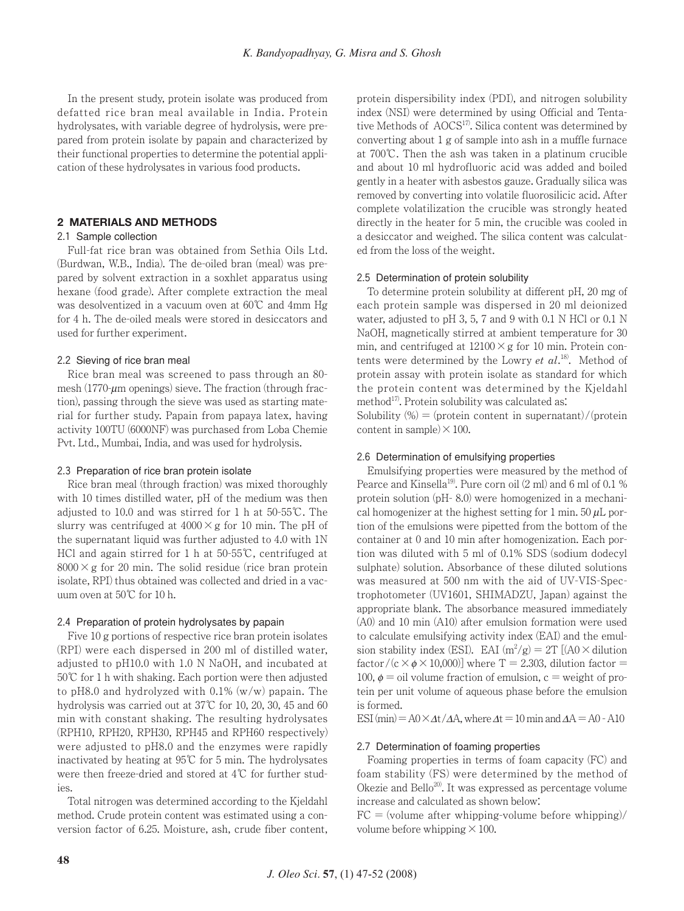In the present study, protein isolate was produced from defatted rice bran meal available in India. Protein hydrolysates, with variable degree of hydrolysis, were prepared from protein isolate by papain and characterized by their functional properties to determine the potential application of these hydrolysates in various food products.

# **2 MATERIALS AND METHODS**

# 2.1 Sample collection

Full-fat rice bran was obtained from Sethia Oils Ltd. (Burdwan, W.B., India). The de-oiled bran (meal) was prepared by solvent extraction in a soxhlet apparatus using hexane (food grade). After complete extraction the meal was desolventized in a vacuum oven at 60℃ and 4mm Hg for 4 h. The de-oiled meals were stored in desiccators and used for further experiment.

#### 2.2 Sieving of rice bran meal

Rice bran meal was screened to pass through an 80 mesh  $(1770 \text{-} \mu \text{m}$  openings) sieve. The fraction (through fraction), passing through the sieve was used as starting material for further study. Papain from papaya latex, having activity 100TU (6000NF) was purchased from Loba Chemie Pvt. Ltd., Mumbai, India, and was used for hydrolysis.

## 2.3 Preparation of rice bran protein isolate

Rice bran meal (through fraction) was mixed thoroughly with 10 times distilled water, pH of the medium was then adjusted to 10.0 and was stirred for 1 h at 50-55℃. The slurry was centrifuged at  $4000 \times g$  for 10 min. The pH of the supernatant liquid was further adjusted to 4.0 with 1N HCl and again stirred for 1 h at 50-55℃, centrifuged at  $8000 \times$ g for 20 min. The solid residue (rice bran protein isolate, RPI) thus obtained was collected and dried in a vacuum oven at 50℃ for 10 h.

## 2.4 Preparation of protein hydrolysates by papain

Five 10 g portions of respective rice bran protein isolates (RPI) were each dispersed in 200 ml of distilled water, adjusted to pH10.0 with 1.0 N NaOH, and incubated at 50℃ for 1 h with shaking. Each portion were then adjusted to pH8.0 and hydrolyzed with 0.1% (w/w) papain. The hydrolysis was carried out at 37℃ for 10, 20, 30, 45 and 60 min with constant shaking. The resulting hydrolysates (RPH10, RPH20, RPH30, RPH45 and RPH60 respectively) were adjusted to pH8.0 and the enzymes were rapidly inactivated by heating at 95℃ for 5 min. The hydrolysates were then freeze-dried and stored at 4℃ for further studies.

Total nitrogen was determined according to the Kjeldahl method. Crude protein content was estimated using a conversion factor of 6.25. Moisture, ash, crude fiber content,

protein dispersibility index (PDI), and nitrogen solubility index (NSI) were determined by using Official and Tentative Methods of AOCS<sup>17)</sup>. Silica content was determined by converting about 1 g of sample into ash in a muffle furnace at 700℃. Then the ash was taken in a platinum crucible and about 10 ml hydrofluoric acid was added and boiled gently in a heater with asbestos gauze. Gradually silica was removed by converting into volatile fluorosilicic acid. After complete volatilization the crucible was strongly heated directly in the heater for 5 min, the crucible was cooled in a desiccator and weighed. The silica content was calculated from the loss of the weight.

#### 2.5 Determination of protein solubility

To determine protein solubility at different pH, 20 mg of each protein sample was dispersed in 20 ml deionized water, adjusted to pH 3, 5, 7 and 9 with 0.1 N HCl or 0.1 N NaOH, magnetically stirred at ambient temperature for 30 min, and centrifuged at  $12100 \times g$  for 10 min. Protein contents were determined by the Lowry *et al*. 18). Method of protein assay with protein isolate as standard for which the protein content was determined by the Kjeldahl method $17$ ). Protein solubility was calculated as:

Solubility  $\left(\% \right) = \frac{\text{protein content in supernatant}}{\text{protein}}$ content in sample)  $\times$  100.

#### 2.6 Determination of emulsifying properties

Emulsifying properties were measured by the method of Pearce and Kinsella<sup>19</sup>. Pure corn oil (2 ml) and 6 ml of 0.1 % protein solution (pH- 8.0) were homogenized in a mechanical homogenizer at the highest setting for 1 min. 50  $\mu$ L portion of the emulsions were pipetted from the bottom of the container at 0 and 10 min after homogenization. Each portion was diluted with 5 ml of 0.1% SDS (sodium dodecyl sulphate) solution. Absorbance of these diluted solutions was measured at 500 nm with the aid of UV-VIS-Spectrophotometer (UV1601, SHIMADZU, Japan) against the appropriate blank. The absorbance measured immediately (A0) and 10 min (A10) after emulsion formation were used to calculate emulsifying activity index (EAI) and the emulsion stability index (ESI). EAI  $(m^2/g) = 2T$  [(A0  $\times$  dilution factor/ $(c \times \phi \times 10,000)$ ] where T = 2.303, dilution factor = 100,  $\phi$  = oil volume fraction of emulsion, c = weight of protein per unit volume of aqueous phase before the emulsion is formed.

ESI (min) =  $A0 \times \Delta t / \Delta A$ , where  $\Delta t = 10$  min and  $\Delta A = A0 - A10$ 

#### 2.7 Determination of foaming properties

Foaming properties in terms of foam capacity (FC) and foam stability (FS) were determined by the method of Okezie and  $\text{Bello}^{20}$ . It was expressed as percentage volume increase and calculated as shown below:

 $FC = (volume after whipping-volume before whipping)$ volume before whipping  $\times 100$ .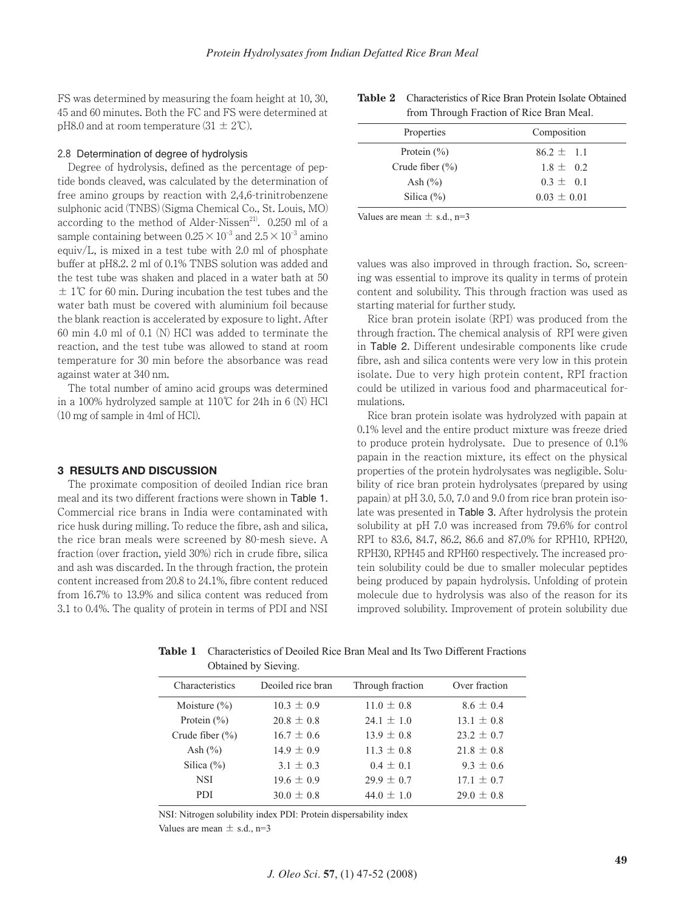FS was determined by measuring the foam height at 10, 30, 45 and 60 minutes. Both the FC and FS were determined at pH8.0 and at room temperature  $(31 \pm 2^{\circ}\text{C})$ .

# 2.8 Determination of degree of hydrolysis

Degree of hydrolysis, defined as the percentage of peptide bonds cleaved, was calculated by the determination of free amino groups by reaction with 2,4,6-trinitrobenzene sulphonic acid (TNBS) (Sigma Chemical Co., St. Louis, MO) according to the method of Alder-Nissen<sup>21)</sup>. 0.250 ml of a sample containing between  $0.25 \times 10^{-3}$  and  $2.5 \times 10^{-3}$  amino equiv/L, is mixed in a test tube with 2.0 ml of phosphate buffer at pH8.2. 2 ml of 0.1% TNBS solution was added and the test tube was shaken and placed in a water bath at 50  $\pm$  1°C for 60 min. During incubation the test tubes and the water bath must be covered with aluminium foil because the blank reaction is accelerated by exposure to light. After 60 min 4.0 ml of 0.1 (N) HCl was added to terminate the reaction, and the test tube was allowed to stand at room temperature for 30 min before the absorbance was read against water at 340 nm.

The total number of amino acid groups was determined in a 100% hydrolyzed sample at 110℃ for 24h in 6 (N) HCl (10 mg of sample in 4ml of HCl).

#### **3 RESULTS AND DISCUSSION**

The proximate composition of deoiled Indian rice bran meal and its two different fractions were shown in Table 1. Commercial rice brans in India were contaminated with rice husk during milling. To reduce the fibre, ash and silica, the rice bran meals were screened by 80-mesh sieve. A fraction (over fraction, yield 30%) rich in crude fibre, silica and ash was discarded. In the through fraction, the protein content increased from 20.8 to 24.1%, fibre content reduced from 16.7% to 13.9% and silica content was reduced from 3.1 to 0.4%. The quality of protein in terms of PDI and NSI

| <b>HOILL HILOUGH FLACHON OF KICE DIAIL MEAL.</b> |                |  |  |
|--------------------------------------------------|----------------|--|--|
| Properties                                       | Composition    |  |  |
| Protein $(\% )$                                  | $86.2 \pm 1.1$ |  |  |
| Crude fiber $(\% )$                              | $1.8 \pm 0.2$  |  |  |
| Ash $(\% )$                                      | $0.3 \pm 0.1$  |  |  |

 $0.03 \pm 0.01$ 

**Table 2** Characteristics of Rice Bran Protein Isolate Obtained from Through Fraction of Rice Bran Meal.

Values are mean  $\pm$  s.d., n=3

Silica (%)

values was also improved in through fraction. So, screening was essential to improve its quality in terms of protein content and solubility. This through fraction was used as starting material for further study.

Rice bran protein isolate (RPI) was produced from the through fraction. The chemical analysis of RPI were given in Table 2. Different undesirable components like crude fibre, ash and silica contents were very low in this protein isolate. Due to very high protein content, RPI fraction could be utilized in various food and pharmaceutical formulations.

Rice bran protein isolate was hydrolyzed with papain at 0.1% level and the entire product mixture was freeze dried to produce protein hydrolysate. Due to presence of 0.1% papain in the reaction mixture, its effect on the physical properties of the protein hydrolysates was negligible. Solubility of rice bran protein hydrolysates (prepared by using papain) at pH 3.0, 5.0, 7.0 and 9.0 from rice bran protein isolate was presented in Table 3. After hydrolysis the protein solubility at pH 7.0 was increased from 79.6% for control RPI to 83.6, 84.7, 86.2, 86.6 and 87.0% for RPH10, RPH20, RPH30, RPH45 and RPH60 respectively. The increased protein solubility could be due to smaller molecular peptides being produced by papain hydrolysis. Unfolding of protein molecule due to hydrolysis was also of the reason for its improved solubility. Improvement of protein solubility due

|                     | Obtained by Sieving. |                  |                |  |
|---------------------|----------------------|------------------|----------------|--|
| Characteristics     | Deoiled rice bran    | Through fraction | Over fraction  |  |
| Moisture $(\% )$    | $10.3 \pm 0.9$       | $11.0 \pm 0.8$   | $8.6 \pm 0.4$  |  |
| Protein $(\% )$     | $20.8 \pm 0.8$       | $24.1 \pm 1.0$   | $13.1 \pm 0.8$ |  |
| Crude fiber $(\% )$ | $16.7 \pm 0.6$       | $13.9 \pm 0.8$   | $23.2 \pm 0.7$ |  |
| Ash $(\% )$         | $14.9 \pm 0.9$       | $11.3 \pm 0.8$   | $21.8 \pm 0.8$ |  |
| Silica $(\% )$      | $3.1 \pm 0.3$        | $0.4 \pm 0.1$    | $9.3 \pm 0.6$  |  |
| <b>NSI</b>          | $19.6 \pm 0.9$       | $29.9 \pm 0.7$   | $17.1 \pm 0.7$ |  |
| <b>PDI</b>          | $30.0 \pm 0.8$       | $44.0 \pm 1.0$   | $29.0 \pm 0.8$ |  |

**Table 1** Characteristics of Deoiled Rice Bran Meal and Its Two Different Fractions Obtained by Sieving.

NSI: Nitrogen solubility index PDI: Protein dispersability index

Values are mean  $\pm$  s.d., n=3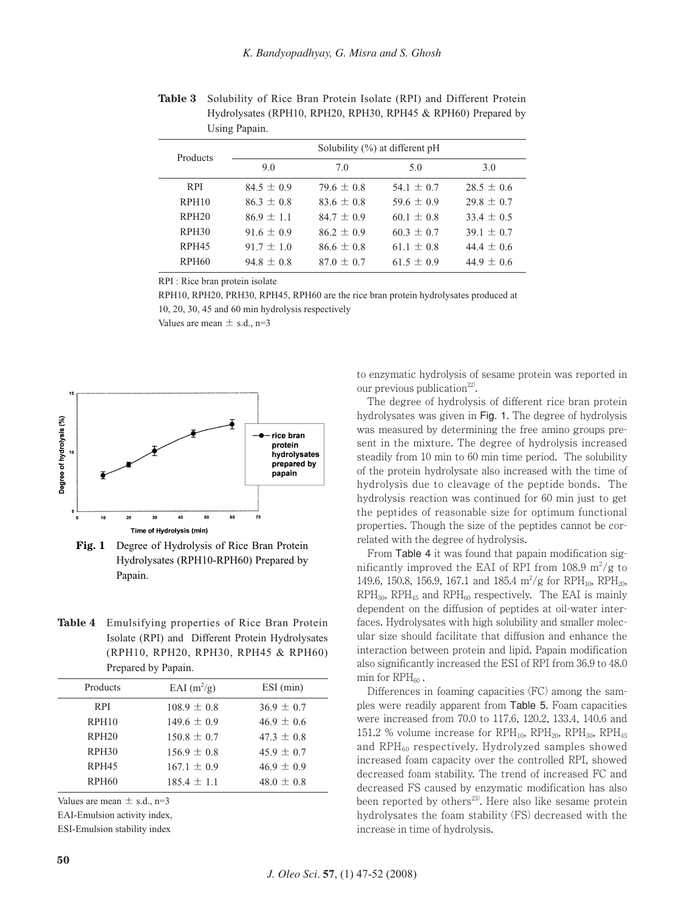| Using Papain.     |                                   |                |                |                |
|-------------------|-----------------------------------|----------------|----------------|----------------|
| Products          | Solubility $(\%)$ at different pH |                |                |                |
|                   | 9.0                               | 7.0            | 5.0            | 3.0            |
| <b>RPI</b>        | $84.5 \pm 0.9$                    | $79.6 \pm 0.8$ | 54.1 $\pm$ 0.7 | $28.5 \pm 0.6$ |
| RPH <sub>10</sub> | $86.3 \pm 0.8$                    | $83.6 + 0.8$   | 59.6 $\pm$ 0.9 | $29.8 \pm 0.7$ |
| RPH20             | $86.9 \pm 1.1$                    | $84.7 \pm 0.9$ | $60.1 \pm 0.8$ | $33.4 \pm 0.5$ |
| RPH <sub>30</sub> | $91.6 \pm 0.9$                    | $86.2 \pm 0.9$ | $60.3 \pm 0.7$ | $39.1 \pm 0.7$ |
| RPH <sub>45</sub> | $91.7 \pm 1.0$                    | $86.6 \pm 0.8$ | $61.1 \pm 0.8$ | 44.4 $\pm$ 0.6 |
| <b>RPH60</b>      | $94.8 \pm 0.8$                    | $87.0 \pm 0.7$ | $61.5 \pm 0.9$ | $44.9 \pm 0.6$ |

**Table 3** Solubility of Rice Bran Protein Isolate (RPI) and Different Protein Hydrolysates (RPH10, RPH20, RPH30, RPH45 & RPH60) Prepared by Using Papain.

RPI : Rice bran protein isolate

RPH10, RPH20, PRH30, RPH45, RPH60 are the rice bran protein hydrolysates produced at 10, 20, 30, 45 and 60 min hydrolysis respectively

Values are mean  $\pm$  s.d., n=3



**Fig. 1** Degree of Hydrolysis of Rice Bran Protein Hydrolysates (RPH10-RPH60) Prepared by Papain.

**Table 4** Emulsifying properties of Rice Bran Protein Isolate (RPI) and Different Protein Hydrolysates (RPH10, RPH20, RPH30, RPH45 & RPH60) Prepared by Papain.

| Products          | EAI $(m^2/g)$   | ESI (min)      |
|-------------------|-----------------|----------------|
| <b>RPI</b>        | $108.9 \pm 0.8$ | $36.9 \pm 0.7$ |
| RPH10             | $149.6 \pm 0.9$ | $46.9 \pm 0.6$ |
| RPH20             | $150.8 \pm 0.7$ | $47.3 \pm 0.8$ |
| RPH <sub>30</sub> | $156.9 \pm 0.8$ | $45.9 \pm 0.7$ |
| RPH <sub>45</sub> | $167.1 \pm 0.9$ | $46.9 \pm 0.9$ |
| <b>RPH60</b>      | $185.4 \pm 1.1$ | $48.0 \pm 0.8$ |
|                   |                 |                |

Values are mean  $\pm$  s.d., n=3

EAI-Emulsion activity index,

ESI-Emulsion stability index

to enzymatic hydrolysis of sesame protein was reported in our previous publication<sup>22)</sup>.

The degree of hydrolysis of different rice bran protein hydrolysates was given in Fig. 1. The degree of hydrolysis was measured by determining the free amino groups present in the mixture. The degree of hydrolysis increased steadily from 10 min to 60 min time period. The solubility of the protein hydrolysate also increased with the time of hydrolysis due to cleavage of the peptide bonds. The hydrolysis reaction was continued for 60 min just to get the peptides of reasonable size for optimum functional properties. Though the size of the peptides cannot be correlated with the degree of hydrolysis.

From Table 4 it was found that papain modification significantly improved the EAI of RPI from 108.9  $\mathrm{m}^2/\mathrm{g}$  to 149.6, 150.8, 156.9, 167.1 and 185.4  $\rm m^2/g$  for RPH<sub>10</sub>, RPH<sub>20</sub>,  $RPH_{30}$ ,  $RPH_{45}$  and  $RPH_{60}$  respectively. The EAI is mainly dependent on the diffusion of peptides at oil-water interfaces. Hydrolysates with high solubility and smaller molecular size should facilitate that diffusion and enhance the interaction between protein and lipid. Papain modification also significantly increased the ESI of RPI from 36.9 to 48.0 min for  $RPH_{60}$ .

Differences in foaming capacities (FC) among the samples were readily apparent from Table 5. Foam capacities were increased from 70.0 to 117.6, 120.2, 133.4, 140.6 and 151.2 % volume increase for  $RPH_{10}$ ,  $RPH_{20}$ ,  $RPH_{30}$ ,  $RPH_{45}$ and RPH<sub>60</sub> respectively. Hydrolyzed samples showed increased foam capacity over the controlled RPI, showed decreased foam stability. The trend of increased FC and decreased FS caused by enzymatic modification has also been reported by others<sup>23)</sup>. Here also like sesame protein hydrolysates the foam stability (FS) decreased with the increase in time of hydrolysis.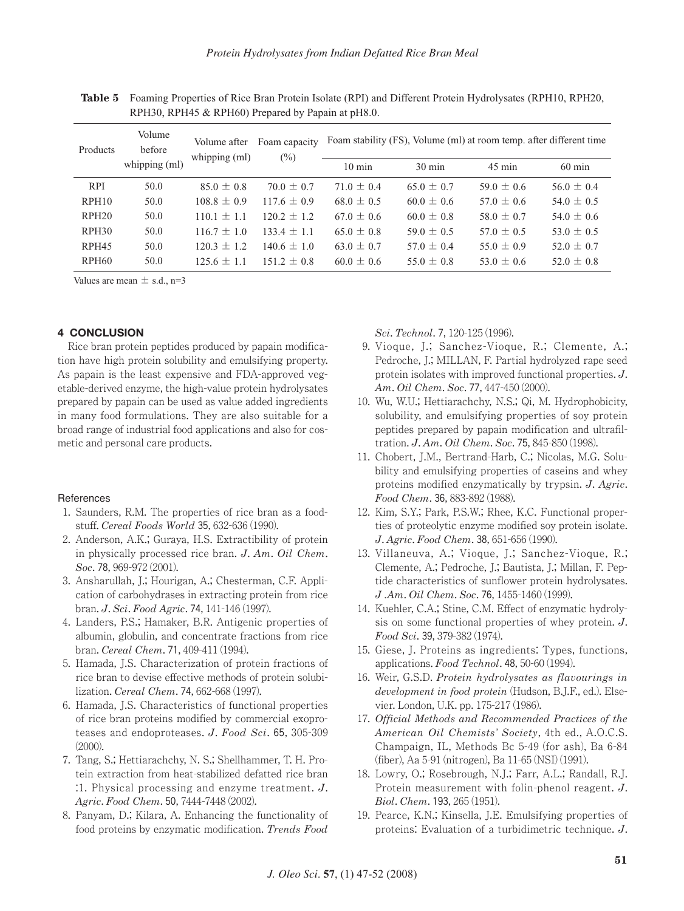| Products          | Volume<br>before<br>whipping (ml) | Volume after<br>whipping $(ml)$ | Foam capacity<br>$(\%)$ | Foam stability (FS), Volume (ml) at room temp. after different time |                  |                  |                  |
|-------------------|-----------------------------------|---------------------------------|-------------------------|---------------------------------------------------------------------|------------------|------------------|------------------|
|                   |                                   |                                 |                         | $10 \text{ min}$                                                    | $30 \text{ min}$ | $45 \text{ min}$ | $60 \text{ min}$ |
| <b>RPI</b>        | 50.0                              | $85.0 \pm 0.8$                  | $70.0 \pm 0.7$          | $71.0 \pm 0.4$                                                      | $65.0 \pm 0.7$   | $59.0 \pm 0.6$   | $56.0 \pm 0.4$   |
| RPH <sub>10</sub> | 50.0                              | $108.8 \pm 0.9$                 | $117.6 + 0.9$           | $68.0 \pm 0.5$                                                      | $60.0 \pm 0.6$   | 57.0 $\pm$ 0.6   | 54.0 $\pm$ 0.5   |
| RPH <sub>20</sub> | 50.0                              | $110.1 + 1.1$                   | $120.2 \pm 1.2$         | $67.0 \pm 0.6$                                                      | $60.0 \pm 0.8$   | 58.0 $\pm$ 0.7   | 54.0 $\pm$ 0.6   |
| RPH <sub>30</sub> | 50.0                              | $116.7 + 1.0$                   | $133.4 + 1.1$           | $65.0 + 0.8$                                                        | $59.0 \pm 0.5$   | $57.0 + 0.5$     | 53.0 $\pm$ 0.5   |
| RPH <sub>45</sub> | 50.0                              | $120.3 + 1.2$                   | $140.6 \pm 1.0$         | $63.0 \pm 0.7$                                                      | 57.0 $\pm$ 0.4   | $55.0 \pm 0.9$   | 52.0 $\pm$ 0.7   |
| RPH <sub>60</sub> | 50.0                              | $125.6 + 1.1$                   | $151.2 + 0.8$           | $60.0 \pm 0.6$                                                      | $55.0 \pm 0.8$   | 53.0 $\pm$ 0.6   | $52.0 \pm 0.8$   |

**Table 5** Foaming Properties of Rice Bran Protein Isolate (RPI) and Different Protein Hydrolysates (RPH10, RPH20, RPH30, RPH45 & RPH60) Prepared by Papain at pH8.0.

Values are mean  $\pm$  s.d., n=3

# **4 CONCLUSION**

Rice bran protein peptides produced by papain modification have high protein solubility and emulsifying property. As papain is the least expensive and FDA-approved vegetable-derived enzyme, the high-value protein hydrolysates prepared by papain can be used as value added ingredients in many food formulations. They are also suitable for a broad range of industrial food applications and also for cosmetic and personal care products.

## References

- 1. Saunders, R.M. The properties of rice bran as a foodstuff. *Cereal Foods World* 35, 632-636 (1990).
- 2. Anderson, A.K.; Guraya, H.S. Extractibility of protein in physically processed rice bran. *J*. *Am*. *Oil Chem*. *Soc*. 78, 969-972 (2001).
- 3. Ansharullah, J.; Hourigan, A.; Chesterman, C.F. Application of carbohydrases in extracting protein from rice bran. *J*. *Sci*. *Food Agric*. 74, 141-146 (1997).
- 4. Landers, P.S.; Hamaker, B.R. Antigenic properties of albumin, globulin, and concentrate fractions from rice bran. *Cereal Chem*. 71, 409-411 (1994).
- 5. Hamada, J.S. Characterization of protein fractions of rice bran to devise effective methods of protein solubilization. *Cereal Chem*. 74, 662-668 (1997).
- 6. Hamada, J.S. Characteristics of functional properties of rice bran proteins modified by commercial exoproteases and endoproteases. *J*. *Food Sci*. 65, 305-309  $(2000)$ .
- 7. Tang, S.; Hettiarachchy, N. S.; Shellhammer, T. H. Protein extraction from heat-stabilized defatted rice bran :1. Physical processing and enzyme treatment. *J*. *Agric*. *Food Chem*. 50, 7444-7448 (2002).
- 8. Panyam, D.; Kilara, A. Enhancing the functionality of food proteins by enzymatic modification. *Trends Food*

*Sci*. *Technol*. 7, 120-125 (1996).

- 9. Vioque, J.; Sanchez-Vioque, R.; Clemente, A.; Pedroche, J.; MILLAN, F. Partial hydrolyzed rape seed protein isolates with improved functional properties. *J*. *Am*. *Oil Chem*. *Soc*. 77, 447-450 (2000).
- 10. Wu, W.U.; Hettiarachchy, N.S.; Qi, M. Hydrophobicity, solubility, and emulsifying properties of soy protein peptides prepared by papain modification and ultrafiltration. *J*. *Am*. *Oil Chem*. *Soc*. 75, 845-850 (1998).
- 11. Chobert, J.M., Bertrand-Harb, C.; Nicolas, M.G. Solubility and emulsifying properties of caseins and whey proteins modified enzymatically by trypsin. *J*. *Agric*. *Food Chem*. 36, 883-892 (1988).
- 12. Kim, S.Y.; Park, P.S.W.; Rhee, K.C. Functional properties of proteolytic enzyme modified soy protein isolate. *J*. *Agric*. *Food Chem*. 38, 651-656 (1990).
- 13. Villaneuva, A.; Vioque, J.; Sanchez-Vioque, R.; Clemente, A.; Pedroche, J.; Bautista, J.; Millan, F. Peptide characteristics of sunflower protein hydrolysates. *J .Am*. *Oil Chem*. *Soc*. 76, 1455-1460 (1999).
- 14. Kuehler, C.A.; Stine, C.M. Effect of enzymatic hydrolysis on some functional properties of whey protein. *J*. *Food Sci*. 39, 379-382 (1974).
- 15. Giese, J. Proteins as ingredients: Types, functions, applications. *Food Technol*. 48, 50-60 (1994).
- 16. Weir, G.S.D. *Protein hydrolysates as flavourings in development in food protein* (Hudson, B.J.F., ed.). Elsevier. London, U.K. pp. 175-217 (1986).
- 17. *Official Methods and Recommended Practices of the American Oil Chemists' Society*, 4th ed., A.O.C.S. Champaign, IL, Methods Bc 5-49 (for ash), Ba 6-84 (fiber), Aa 5-91 (nitrogen), Ba 11-65 (NSI) (1991).
- 18. Lowry, O.; Rosebrough, N.J.; Farr, A.L.; Randall, R.J. Protein measurement with folin-phenol reagent. *J*. *Biol*. *Chem*. 193, 265 (1951).
- 19. Pearce, K.N.; Kinsella, J.E. Emulsifying properties of proteins: Evaluation of a turbidimetric technique. *J*.